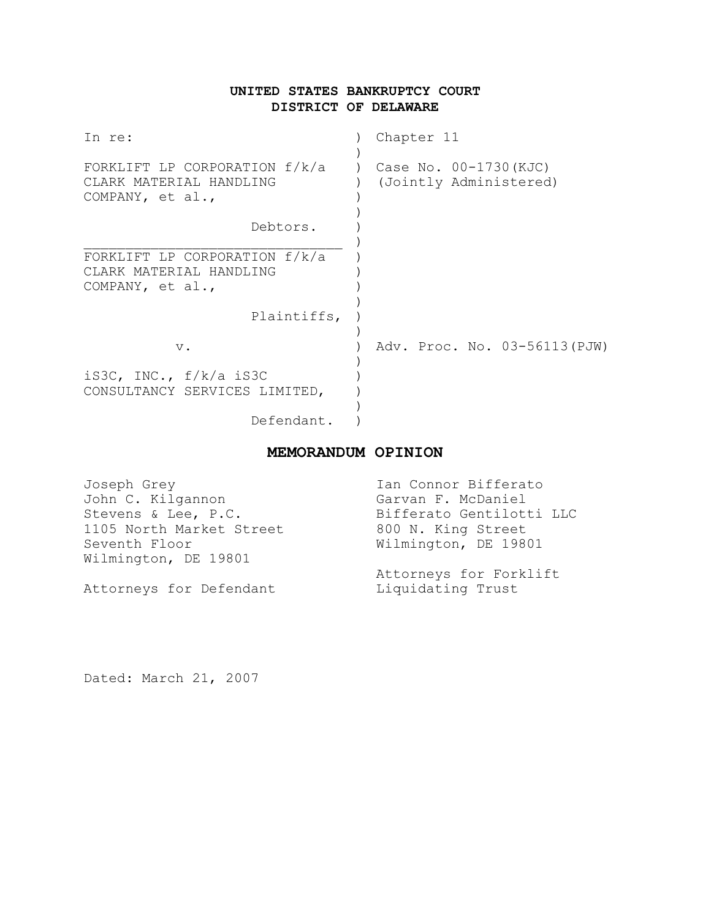## **UNITED STATES BANKRUPTCY COURT DISTRICT OF DELAWARE**

| In re:                                                                         | Chapter 11                                       |
|--------------------------------------------------------------------------------|--------------------------------------------------|
| FORKLIFT LP CORPORATION f/k/a<br>CLARK MATERIAL HANDLING<br>COMPANY, et al.,   | Case No. 00-1730 (KJC)<br>(Jointly Administered) |
| Debtors.                                                                       |                                                  |
| FORKLIFT LP CORPORATION $f/k/a$<br>CLARK MATERIAL HANDLING<br>COMPANY, et al., |                                                  |
| Plaintiffs,                                                                    |                                                  |
| $V$ .                                                                          | Adv. Proc. No. 03-56113 (PJW)                    |
| iS3C, INC., $f/k/a$ iS3C<br>CONSULTANCY SERVICES LIMITED,                      |                                                  |
| Defendant.                                                                     |                                                  |

# **MEMORANDUM OPINION**

| Joseph Grey              | Ian Connor Bifferato     |
|--------------------------|--------------------------|
| John C. Kilgannon        | Garvan F. McDaniel       |
| Stevens & Lee, P.C.      | Bifferato Gentilotti LLC |
| 1105 North Market Street | 800 N. King Street       |
| Seventh Floor            | Wilmington, DE 19801     |
| Wilmington, DE 19801     |                          |
|                          | Attorneys for Forklift   |
| Attorneys for Defendant  | Liquidating Trust        |

Dated: March 21, 2007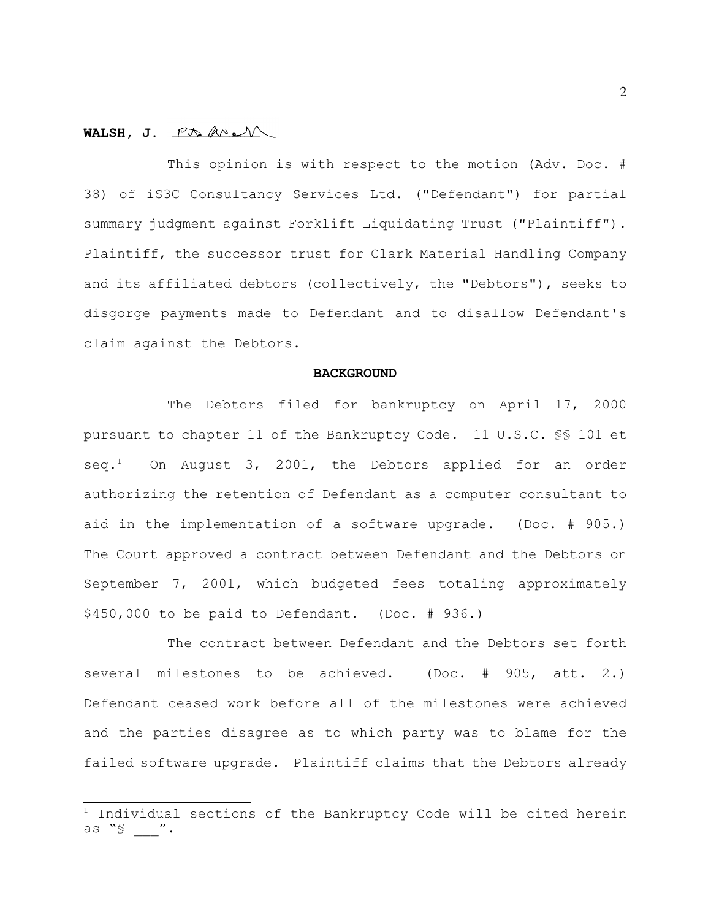## **WALSH, J.**

This opinion is with respect to the motion (Adv. Doc. # 38) of iS3C Consultancy Services Ltd. ("Defendant") for partial summary judgment against Forklift Liquidating Trust ("Plaintiff"). Plaintiff, the successor trust for Clark Material Handling Company and its affiliated debtors (collectively, the "Debtors"), seeks to disgorge payments made to Defendant and to disallow Defendant's claim against the Debtors.

### **BACKGROUND**

The Debtors filed for bankruptcy on April 17, 2000 pursuant to chapter 11 of the Bankruptcy Code. 11 U.S.C. §§ 101 et  $seq.^1$  On August 3, 2001, the Debtors applied for an order authorizing the retention of Defendant as a computer consultant to aid in the implementation of a software upgrade. (Doc. # 905.) The Court approved a contract between Defendant and the Debtors on September 7, 2001, which budgeted fees totaling approximately \$450,000 to be paid to Defendant. (Doc. # 936.)

The contract between Defendant and the Debtors set forth several milestones to be achieved. (Doc. # 905, att. 2.) Defendant ceased work before all of the milestones were achieved and the parties disagree as to which party was to blame for the failed software upgrade. Plaintiff claims that the Debtors already

 $1$  Individual sections of the Bankruptcy Code will be cited herein as  $\sqrt[m]{s}$  ".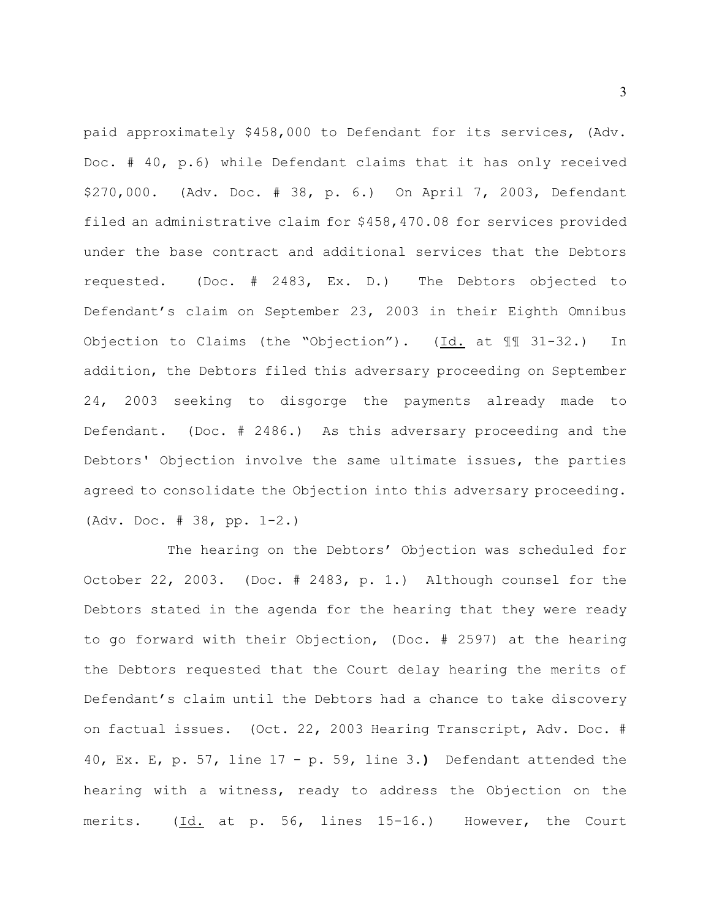paid approximately \$458,000 to Defendant for its services, (Adv. Doc. # 40, p.6) while Defendant claims that it has only received \$270,000. (Adv. Doc. # 38, p. 6.) On April 7, 2003, Defendant filed an administrative claim for \$458,470.08 for services provided under the base contract and additional services that the Debtors requested. (Doc. # 2483, Ex. D.) The Debtors objected to Defendant's claim on September 23, 2003 in their Eighth Omnibus Objection to Claims (the "Objection"). (Id. at ¶¶ 31-32.) In addition, the Debtors filed this adversary proceeding on September 24, 2003 seeking to disgorge the payments already made to Defendant. (Doc. # 2486.) As this adversary proceeding and the Debtors' Objection involve the same ultimate issues, the parties agreed to consolidate the Objection into this adversary proceeding. (Adv. Doc. # 38, pp. 1-2.)

The hearing on the Debtors' Objection was scheduled for October 22, 2003. (Doc. # 2483, p. 1.) Although counsel for the Debtors stated in the agenda for the hearing that they were ready to go forward with their Objection, (Doc. # 2597) at the hearing the Debtors requested that the Court delay hearing the merits of Defendant's claim until the Debtors had a chance to take discovery on factual issues. (Oct. 22, 2003 Hearing Transcript, Adv. Doc. # 40, Ex. E, p. 57, line 17 - p. 59, line 3.**)** Defendant attended the hearing with a witness, ready to address the Objection on the merits. (Id. at p. 56, lines 15-16.)However, the Court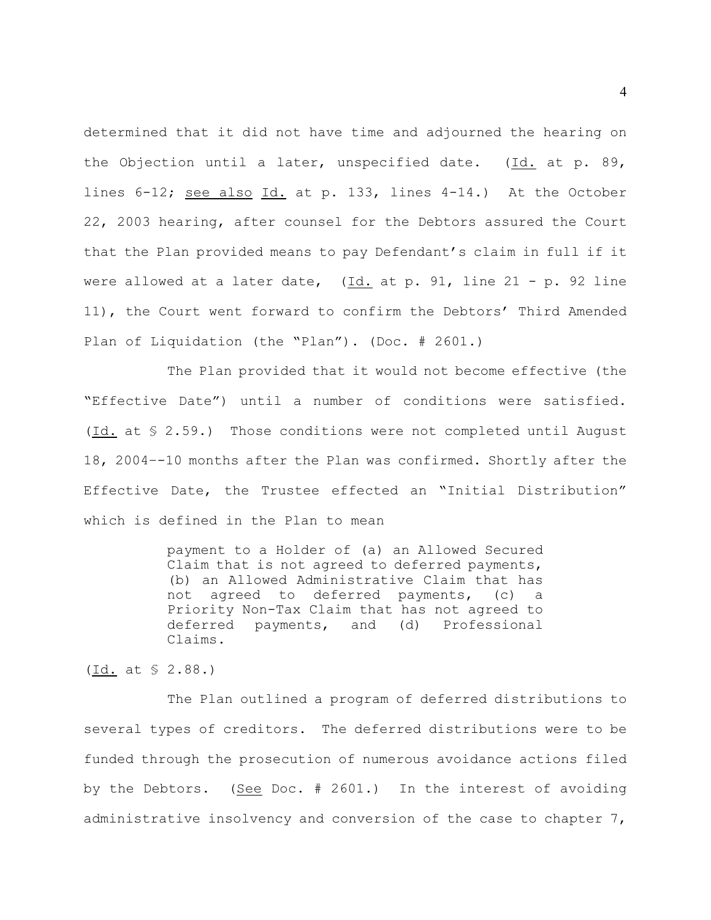determined that it did not have time and adjourned the hearing on the Objection until a later, unspecified date. (Id. at p. 89, lines 6-12; see also Id. at p. 133, lines 4-14.) At the October 22, 2003 hearing, after counsel for the Debtors assured the Court that the Plan provided means to pay Defendant's claim in full if it were allowed at a later date, (Id. at p. 91, line 21 - p. 92 line 11), the Court went forward to confirm the Debtors' Third Amended Plan of Liquidation (the "Plan"). (Doc. # 2601.)

The Plan provided that it would not become effective (the "Effective Date") until a number of conditions were satisfied. (Id. at § 2.59.) Those conditions were not completed until August 18, 2004–-10 months after the Plan was confirmed. Shortly after the Effective Date, the Trustee effected an "Initial Distribution" which is defined in the Plan to mean

> payment to a Holder of (a) an Allowed Secured Claim that is not agreed to deferred payments, (b) an Allowed Administrative Claim that has not agreed to deferred payments, (c) a Priority Non-Tax Claim that has not agreed to deferred payments, and (d) Professional Claims.

(Id. at § 2.88.)

The Plan outlined a program of deferred distributions to several types of creditors. The deferred distributions were to be funded through the prosecution of numerous avoidance actions filed by the Debtors. (See Doc. # 2601.) In the interest of avoiding administrative insolvency and conversion of the case to chapter  $7$ ,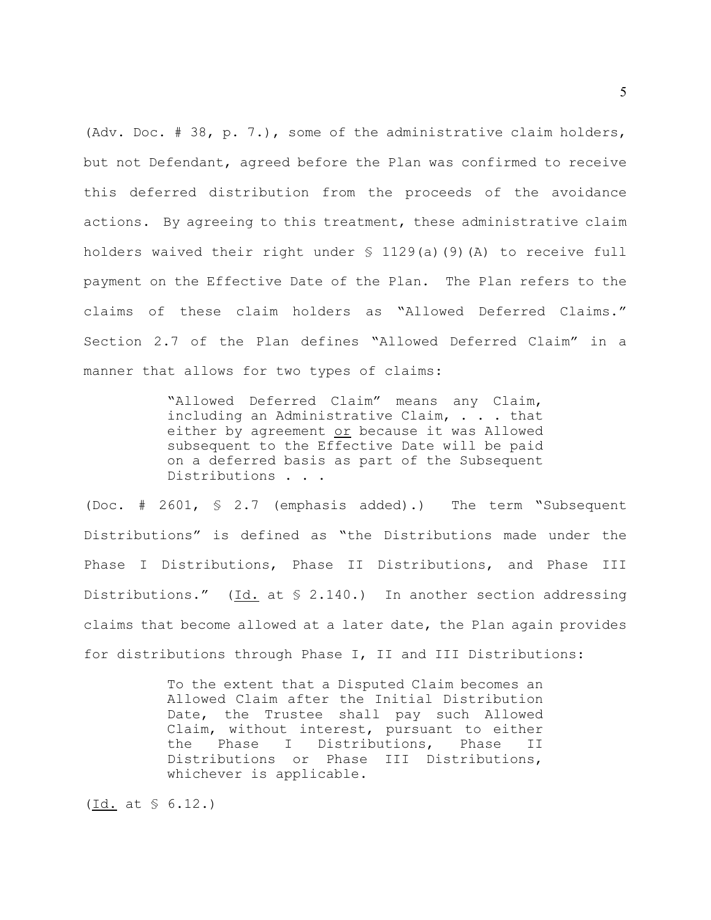(Adv. Doc. # 38, p. 7.), some of the administrative claim holders, but not Defendant, agreed before the Plan was confirmed to receive this deferred distribution from the proceeds of the avoidance actions. By agreeing to this treatment, these administrative claim holders waived their right under  $\frac{129}{a}$  (9)(A) to receive full payment on the Effective Date of the Plan. The Plan refers to the claims of these claim holders as "Allowed Deferred Claims." Section 2.7 of the Plan defines "Allowed Deferred Claim" in a manner that allows for two types of claims:

> "Allowed Deferred Claim" means any Claim, including an Administrative Claim, . . . that either by agreement or because it was Allowed subsequent to the Effective Date will be paid on a deferred basis as part of the Subsequent Distributions . . .

(Doc. # 2601, § 2.7 (emphasis added).) The term "Subsequent Distributions" is defined as "the Distributions made under the Phase I Distributions, Phase II Distributions, and Phase III Distributions." (Id. at § 2.140.) In another section addressing claims that become allowed at a later date, the Plan again provides for distributions through Phase I, II and III Distributions:

> To the extent that a Disputed Claim becomes an Allowed Claim after the Initial Distribution Date, the Trustee shall pay such Allowed Claim, without interest, pursuant to either the Phase I Distributions, Phase II Distributions or Phase III Distributions, whichever is applicable.

(Id. at § 6.12.)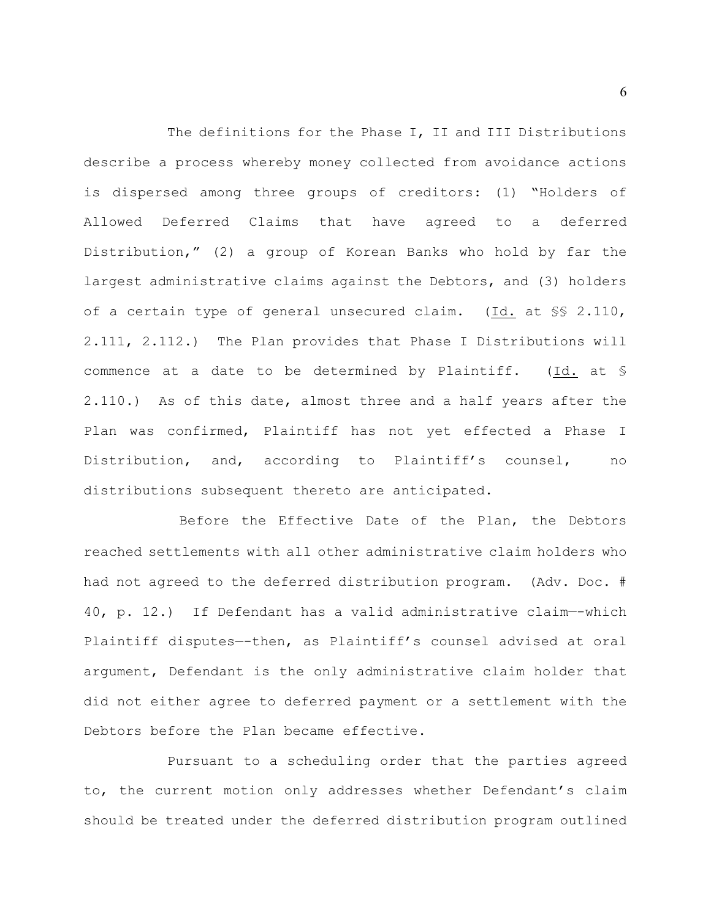The definitions for the Phase I, II and III Distributions describe a process whereby money collected from avoidance actions is dispersed among three groups of creditors: (1) "Holders of Allowed Deferred Claims that have agreed to a deferred Distribution," (2) a group of Korean Banks who hold by far the largest administrative claims against the Debtors, and (3) holders of a certain type of general unsecured claim. (Id. at §§ 2.110, 2.111, 2.112.) The Plan provides that Phase I Distributions will commence at a date to be determined by Plaintiff. (Id. at § 2.110.) As of this date, almost three and a half years after the Plan was confirmed, Plaintiff has not yet effected a Phase I Distribution, and, according to Plaintiff's counsel, no distributions subsequent thereto are anticipated.

Before the Effective Date of the Plan, the Debtors reached settlements with all other administrative claim holders who had not agreed to the deferred distribution program. (Adv. Doc. # 40, p. 12.) If Defendant has a valid administrative claim—-which Plaintiff disputes—-then, as Plaintiff's counsel advised at oral argument, Defendant is the only administrative claim holder that did not either agree to deferred payment or a settlement with the Debtors before the Plan became effective.

Pursuant to a scheduling order that the parties agreed to, the current motion only addresses whether Defendant's claim should be treated under the deferred distribution program outlined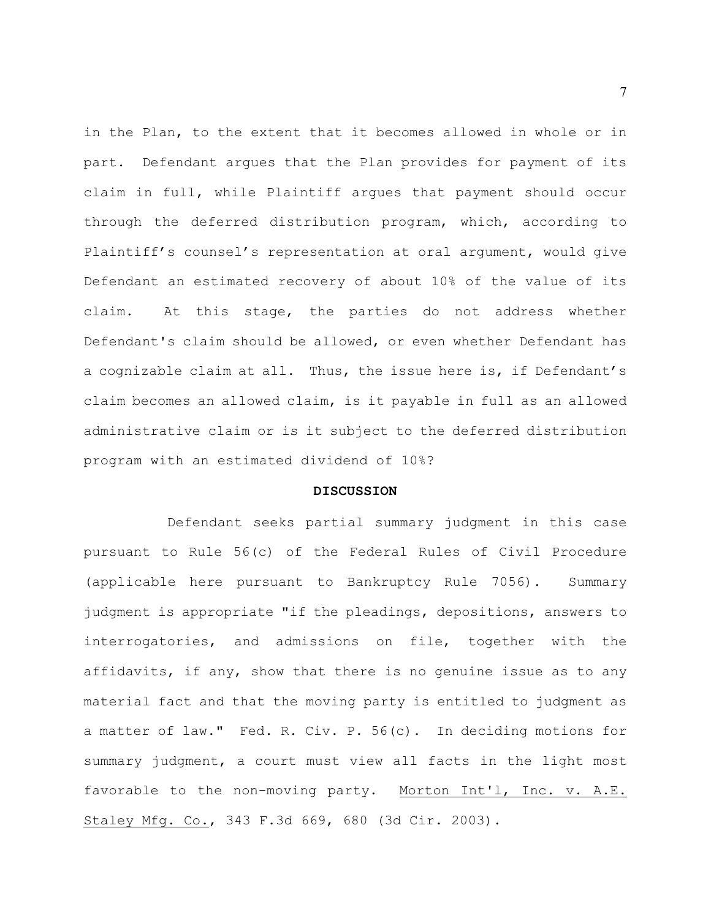in the Plan, to the extent that it becomes allowed in whole or in part. Defendant argues that the Plan provides for payment of its claim in full, while Plaintiff argues that payment should occur through the deferred distribution program, which, according to Plaintiff's counsel's representation at oral argument, would give Defendant an estimated recovery of about 10% of the value of its claim. At this stage, the parties do not address whether Defendant's claim should be allowed, or even whether Defendant has a cognizable claim at all. Thus, the issue here is, if Defendant's claim becomes an allowed claim, is it payable in full as an allowed administrative claim or is it subject to the deferred distribution program with an estimated dividend of 10%?

#### **DISCUSSION**

Defendant seeks partial summary judgment in this case pursuant to Rule 56(c) of the Federal Rules of Civil Procedure (applicable here pursuant to Bankruptcy Rule 7056). Summary judgment is appropriate "if the pleadings, depositions, answers to interrogatories, and admissions on file, together with the affidavits, if any, show that there is no genuine issue as to any material fact and that the moving party is entitled to judgment as a matter of law." Fed. R. Civ. P. 56(c). In deciding motions for summary judgment, a court must view all facts in the light most favorable to the non-moving party. Morton Int'l, Inc. v. A.E. Staley Mfg. Co., 343 F.3d 669, 680 (3d Cir. 2003).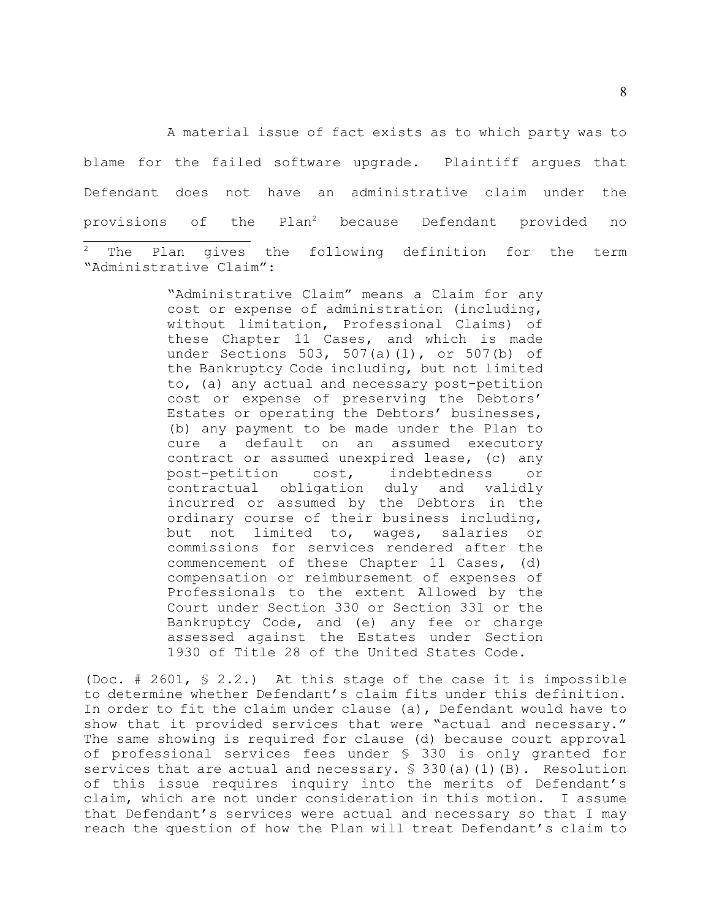The Plan gives the following definition for the term "Administrative Claim": A material issue of fact exists as to which party was to blame for the failed software upgrade. Plaintiff argues that Defendant does not have an administrative claim under the provisions of the  $Plan^2$  because Defendant provided no

> "Administrative Claim" means a Claim for any cost or expense of administration (including, without limitation, Professional Claims) of these Chapter 11 Cases, and which is made under Sections 503, 507(a)(1), or 507(b) of the Bankruptcy Code including, but not limited to, (a) any actual and necessary post-petition cost or expense of preserving the Debtors' Estates or operating the Debtors' businesses, (b) any payment to be made under the Plan to cure a default on an assumed executory contract or assumed unexpired lease, (c) any post-petition cost, indebtedness or contractual obligation duly and validly incurred or assumed by the Debtors in the ordinary course of their business including, but not limited to, wages, salaries or commissions for services rendered after the commencement of these Chapter 11 Cases, (d) compensation or reimbursement of expenses of Professionals to the extent Allowed by the Court under Section 330 or Section 331 or the Bankruptcy Code, and (e) any fee or charge assessed against the Estates under Section 1930 of Title 28 of the United States Code.

(Doc. # 2601,  $\S$  2.2.) At this stage of the case it is impossible to determine whether Defendant's claim fits under this definition. In order to fit the claim under clause (a), Defendant would have to show that it provided services that were "actual and necessary." The same showing is required for clause (d) because court approval of professional services fees under § 330 is only granted for services that are actual and necessary.  $\frac{1}{5}$  330(a)(1)(B). Resolution of this issue requires inquiry into the merits of Defendant's claim, which are not under consideration in this motion. I assume that Defendant's services were actual and necessary so that I may reach the question of how the Plan will treat Defendant's claim to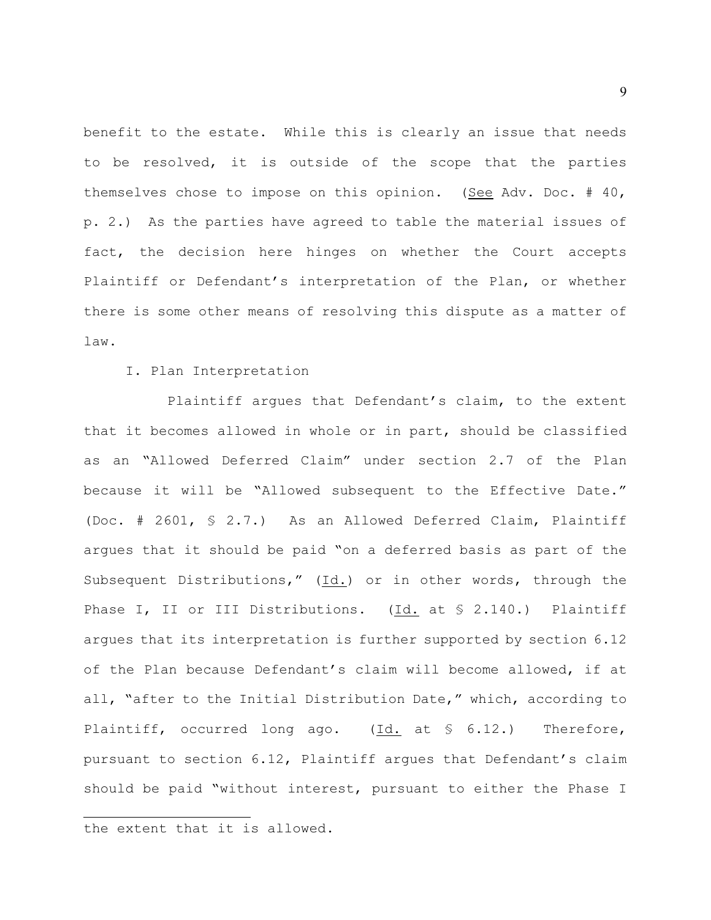benefit to the estate. While this is clearly an issue that needs to be resolved, it is outside of the scope that the parties themselves chose to impose on this opinion. (See Adv. Doc. # 40, p. 2.) As the parties have agreed to table the material issues of fact, the decision here hinges on whether the Court accepts Plaintiff or Defendant's interpretation of the Plan, or whether there is some other means of resolving this dispute as a matter of law.

### I. Plan Interpretation

Plaintiff argues that Defendant's claim, to the extent that it becomes allowed in whole or in part, should be classified as an "Allowed Deferred Claim" under section 2.7 of the Plan because it will be "Allowed subsequent to the Effective Date." (Doc. # 2601, § 2.7.) As an Allowed Deferred Claim, Plaintiff argues that it should be paid "on a deferred basis as part of the Subsequent Distributions,"  $(\underline{Id.})$  or in other words, through the Phase I, II or III Distributions. (Id. at § 2.140.) Plaintiff argues that its interpretation is further supported by section 6.12 of the Plan because Defendant's claim will become allowed, if at all, "after to the Initial Distribution Date," which, according to Plaintiff, occurred long ago. (Id. at § 6.12.) Therefore, pursuant to section 6.12, Plaintiff argues that Defendant's claim should be paid "without interest, pursuant to either the Phase I

the extent that it is allowed.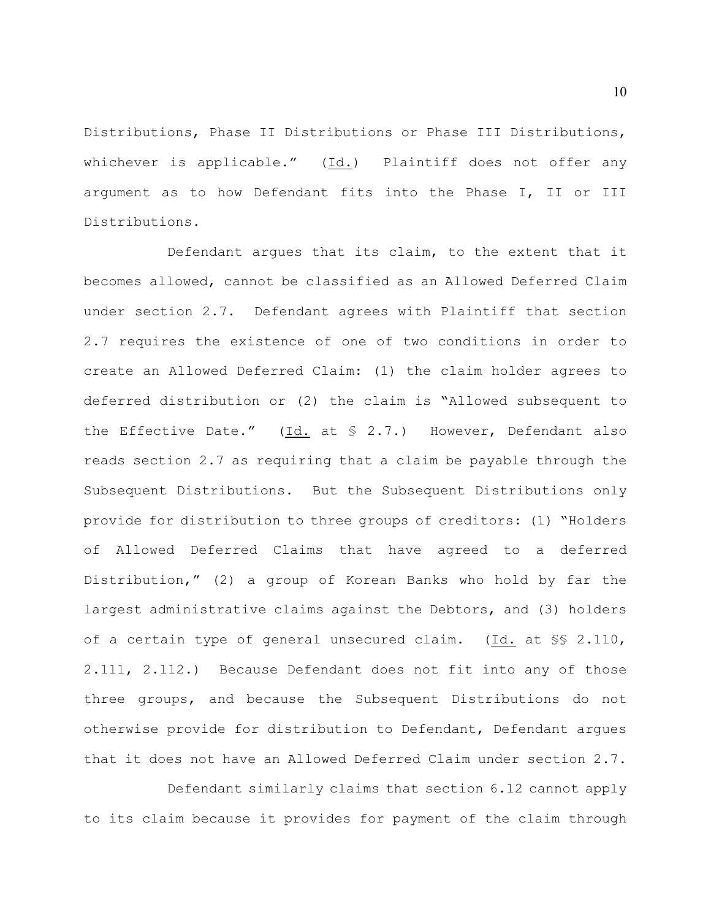Distributions, Phase II Distributions or Phase III Distributions, whichever is applicable." (Id.) Plaintiff does not offer any argument as to how Defendant fits into the Phase I, II or III Distributions.

Defendant argues that its claim, to the extent that it becomes allowed, cannot be classified as an Allowed Deferred Claim under section 2.7. Defendant agrees with Plaintiff that section 2.7 requires the existence of one of two conditions in order to create an Allowed Deferred Claim: (1) the claim holder agrees to deferred distribution or (2) the claim is "Allowed subsequent to the Effective Date." (Id. at § 2.7.) However, Defendant also reads section 2.7 as requiring that a claim be payable through the Subsequent Distributions. But the Subsequent Distributions only provide for distribution to three groups of creditors: (1) "Holders of Allowed Deferred Claims that have agreed to a deferred Distribution," (2) a group of Korean Banks who hold by far the largest administrative claims against the Debtors, and (3) holders of a certain type of general unsecured claim. (Id. at §§ 2.110, 2.111, 2.112.) Because Defendant does not fit into any of those three groups, and because the Subsequent Distributions do not otherwise provide for distribution to Defendant, Defendant argues that it does not have an Allowed Deferred Claim under section 2.7.

Defendant similarly claims that section 6.12 cannot apply to its claim because it provides for payment of the claim through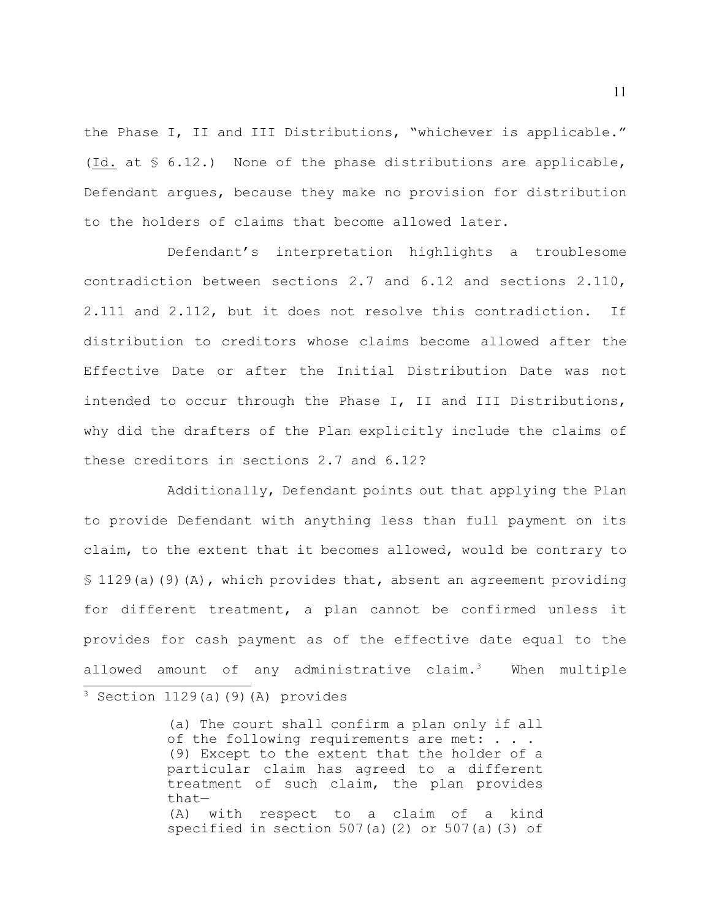the Phase I, II and III Distributions, "whichever is applicable." (Id. at § 6.12.) None of the phase distributions are applicable, Defendant argues, because they make no provision for distribution to the holders of claims that become allowed later.

Defendant's interpretation highlights a troublesome contradiction between sections 2.7 and 6.12 and sections 2.110, 2.111 and 2.112, but it does not resolve this contradiction. If distribution to creditors whose claims become allowed after the Effective Date or after the Initial Distribution Date was not intended to occur through the Phase I, II and III Distributions, why did the drafters of the Plan explicitly include the claims of these creditors in sections 2.7 and 6.12?

Additionally, Defendant points out that applying the Plan to provide Defendant with anything less than full payment on its claim, to the extent that it becomes allowed, would be contrary to  $$ 1129(a)(9)(A)$ , which provides that, absent an agreement providing for different treatment, a plan cannot be confirmed unless it provides for cash payment as of the effective date equal to the allowed amount of any administrative claim.<sup>3</sup> When multiple

(a) The court shall confirm a plan only if all of the following requirements are met: . . . (9) Except to the extent that the holder of a particular claim has agreed to a different treatment of such claim, the plan provides that— (A) with respect to a claim of a kind specified in section 507(a)(2) or 507(a)(3) of

 $3$  Section 1129(a)(9)(A) provides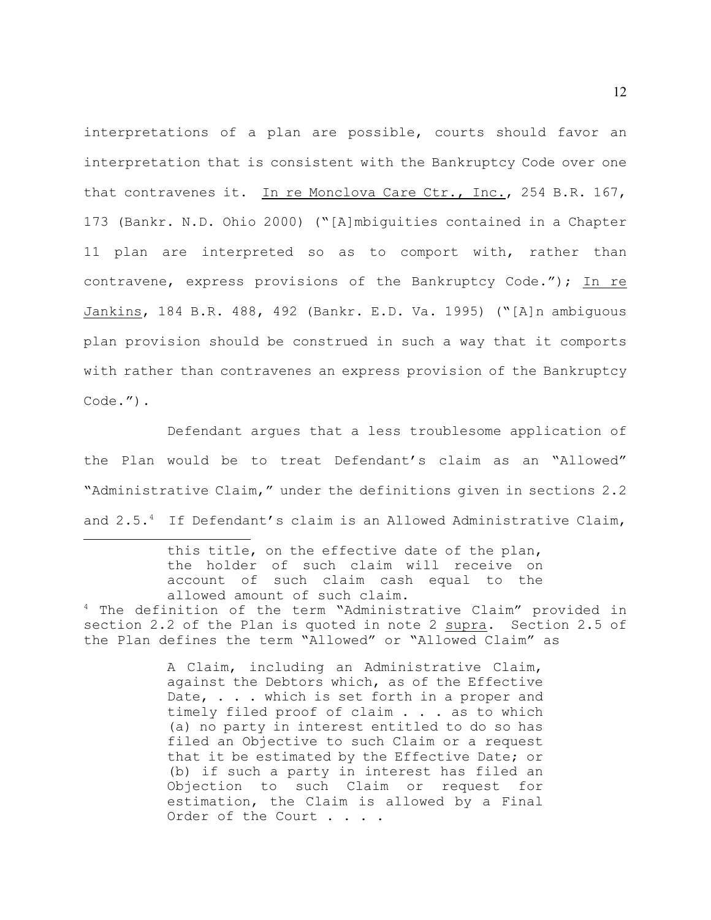interpretations of a plan are possible, courts should favor an interpretation that is consistent with the Bankruptcy Code over one that contravenes it. In re Monclova Care Ctr., Inc., 254 B.R. 167, 173 (Bankr. N.D. Ohio 2000) ("[A]mbiguities contained in a Chapter 11 plan are interpreted so as to comport with, rather than contravene, express provisions of the Bankruptcy Code."); In re Jankins, 184 B.R. 488, 492 (Bankr. E.D. Va. 1995) ("[A]n ambiguous plan provision should be construed in such a way that it comports with rather than contravenes an express provision of the Bankruptcy Code.").

Defendant argues that a less troublesome application of the Plan would be to treat Defendant's claim as an "Allowed" "Administrative Claim," under the definitions given in sections 2.2 and  $2.5.^4$  If Defendant's claim is an Allowed Administrative Claim,

> this title, on the effective date of the plan, the holder of such claim will receive on account of such claim cash equal to the allowed amount of such claim.

 $4$  The definition of the term "Administrative Claim" provided in section 2.2 of the Plan is quoted in note 2 supra. Section 2.5 of the Plan defines the term "Allowed" or "Allowed Claim" as

> A Claim, including an Administrative Claim, against the Debtors which, as of the Effective Date, . . . which is set forth in a proper and timely filed proof of claim . . . as to which (a) no party in interest entitled to do so has filed an Objective to such Claim or a request that it be estimated by the Effective Date; or (b) if such a party in interest has filed an Objection to such Claim or request for estimation, the Claim is allowed by a Final Order of the Court . . . .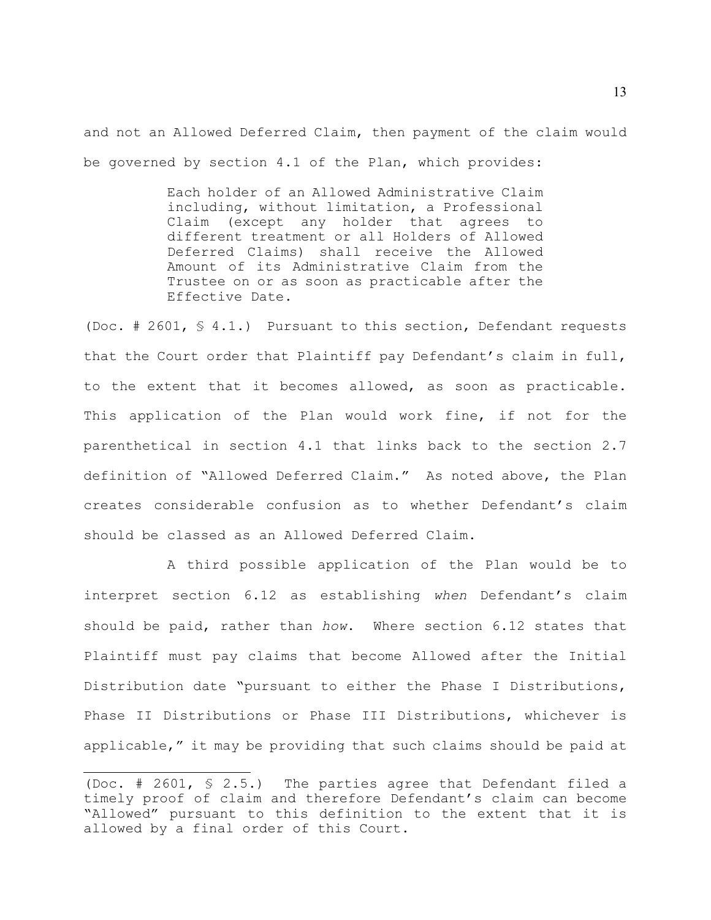and not an Allowed Deferred Claim, then payment of the claim would be governed by section 4.1 of the Plan, which provides:

> Each holder of an Allowed Administrative Claim including, without limitation, a Professional Claim (except any holder that agrees to different treatment or all Holders of Allowed Deferred Claims) shall receive the Allowed Amount of its Administrative Claim from the Trustee on or as soon as practicable after the Effective Date.

(Doc.  $\#$  2601,  $\$\ 4.1.$ ) Pursuant to this section, Defendant requests that the Court order that Plaintiff pay Defendant's claim in full, to the extent that it becomes allowed, as soon as practicable. This application of the Plan would work fine, if not for the parenthetical in section 4.1 that links back to the section 2.7 definition of "Allowed Deferred Claim." As noted above, the Plan creates considerable confusion as to whether Defendant's claim should be classed as an Allowed Deferred Claim.

A third possible application of the Plan would be to interpret section 6.12 as establishing *when* Defendant's claim should be paid, rather than *how*. Where section 6.12 states that Plaintiff must pay claims that become Allowed after the Initial Distribution date "pursuant to either the Phase I Distributions, Phase II Distributions or Phase III Distributions, whichever is applicable," it may be providing that such claims should be paid at

<sup>(</sup>Doc. # 2601, § 2.5.) The parties agree that Defendant filed a timely proof of claim and therefore Defendant's claim can become "Allowed" pursuant to this definition to the extent that it is allowed by a final order of this Court.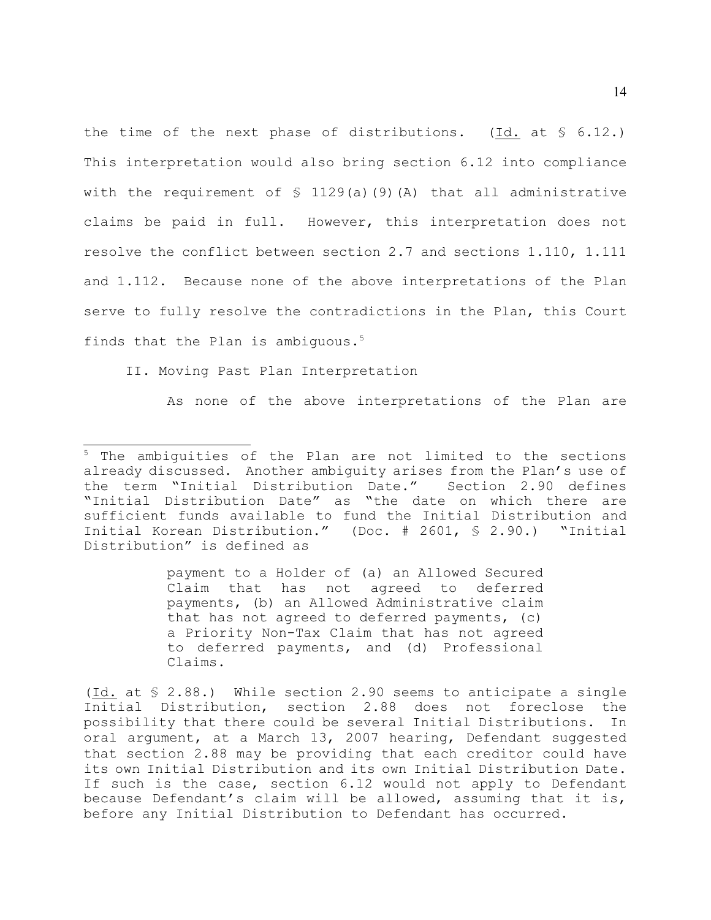the time of the next phase of distributions. (Id. at  $\S$  6.12.) This interpretation would also bring section 6.12 into compliance with the requirement of  $\frac{129}{a}$  (9)(A) that all administrative claims be paid in full. However, this interpretation does not resolve the conflict between section 2.7 and sections 1.110, 1.111 and 1.112. Because none of the above interpretations of the Plan serve to fully resolve the contradictions in the Plan, this Court finds that the Plan is ambiguous.<sup>5</sup>

II. Moving Past Plan Interpretation

As none of the above interpretations of the Plan are

payment to a Holder of (a) an Allowed Secured Claim that has not agreed to deferred payments, (b) an Allowed Administrative claim that has not agreed to deferred payments, (c) a Priority Non-Tax Claim that has not agreed to deferred payments, and (d) Professional Claims.

(Id. at § 2.88.) While section 2.90 seems to anticipate a single Initial Distribution, section 2.88 does not foreclose the possibility that there could be several Initial Distributions. In oral argument, at a March 13, 2007 hearing, Defendant suggested that section 2.88 may be providing that each creditor could have its own Initial Distribution and its own Initial Distribution Date. If such is the case, section 6.12 would not apply to Defendant because Defendant's claim will be allowed, assuming that it is, before any Initial Distribution to Defendant has occurred.

 $5$  The ambiguities of the Plan are not limited to the sections already discussed. Another ambiguity arises from the Plan's use of the term "Initial Distribution Date." Section 2.90 defines "Initial Distribution Date" as "the date on which there are sufficient funds available to fund the Initial Distribution and Initial Korean Distribution." (Doc. # 2601, § 2.90.) "Initial Distribution" is defined as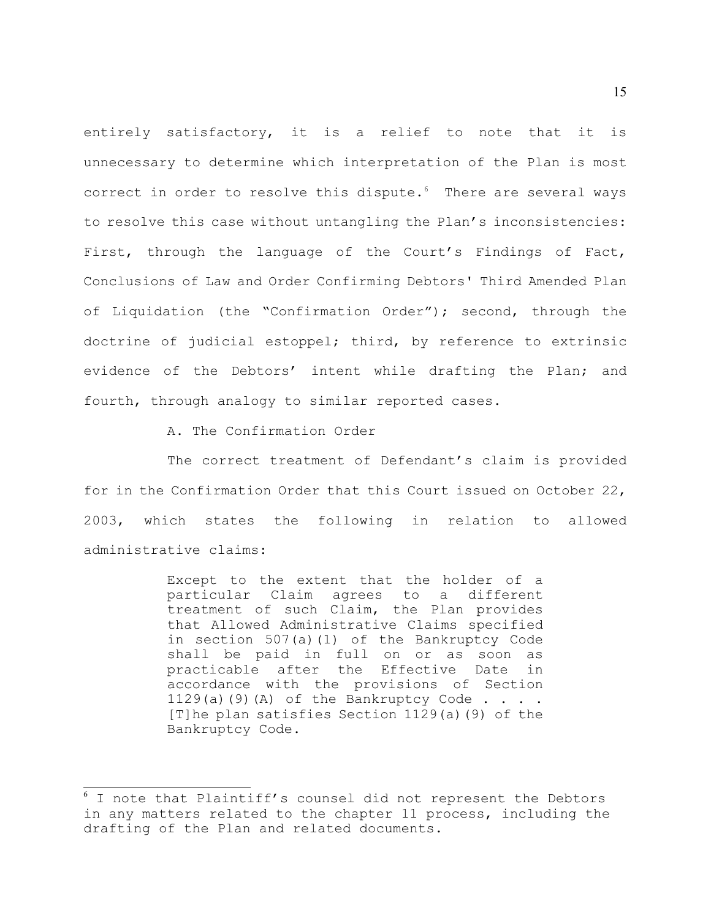entirely satisfactory, it is a relief to note that it is unnecessary to determine which interpretation of the Plan is most correct in order to resolve this dispute. $6$  There are several ways to resolve this case without untangling the Plan's inconsistencies: First, through the language of the Court's Findings of Fact, Conclusions of Law and Order Confirming Debtors' Third Amended Plan of Liquidation (the "Confirmation Order"); second, through the doctrine of judicial estoppel; third, by reference to extrinsic evidence of the Debtors' intent while drafting the Plan; and fourth, through analogy to similar reported cases.

A. The Confirmation Order

The correct treatment of Defendant's claim is provided for in the Confirmation Order that this Court issued on October 22, 2003, which states the following in relation to allowed administrative claims:

> Except to the extent that the holder of a particular Claim agrees to a different treatment of such Claim, the Plan provides that Allowed Administrative Claims specified in section 507(a)(1) of the Bankruptcy Code shall be paid in full on or as soon as practicable after the Effective Date in accordance with the provisions of Section 1129(a)(9)(A) of the Bankruptcy Code . . . . [T]he plan satisfies Section 1129(a)(9) of the Bankruptcy Code.

 $6$  I note that Plaintiff's counsel did not represent the Debtors in any matters related to the chapter 11 process, including the drafting of the Plan and related documents.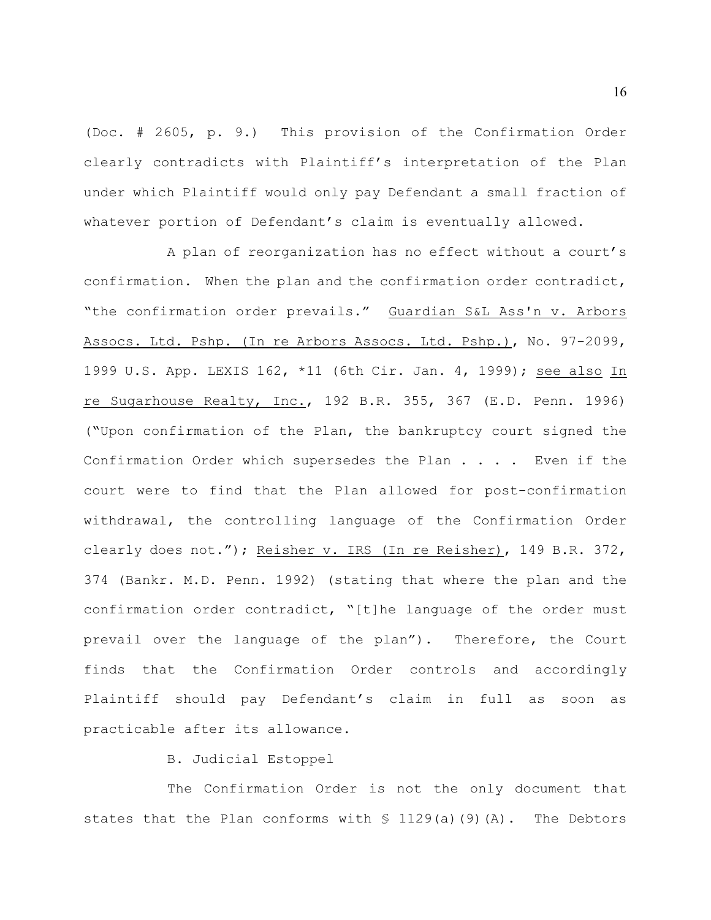(Doc. # 2605, p. 9.) This provision of the Confirmation Order clearly contradicts with Plaintiff's interpretation of the Plan under which Plaintiff would only pay Defendant a small fraction of whatever portion of Defendant's claim is eventually allowed.

A plan of reorganization has no effect without a court's confirmation. When the plan and the confirmation order contradict, "the confirmation order prevails." Guardian S&L Ass'n v. Arbors Assocs. Ltd. Pshp. (In re Arbors Assocs. Ltd. Pshp.), No. 97-2099, 1999 U.S. App. LEXIS 162, \*11 (6th Cir. Jan. 4, 1999); see also In re Sugarhouse Realty, Inc., 192 B.R. 355, 367 (E.D. Penn. 1996) ("Upon confirmation of the Plan, the bankruptcy court signed the Confirmation Order which supersedes the Plan . . . . Even if the court were to find that the Plan allowed for post-confirmation withdrawal, the controlling language of the Confirmation Order clearly does not."); Reisher v. IRS (In re Reisher), 149 B.R. 372, 374 (Bankr. M.D. Penn. 1992) (stating that where the plan and the confirmation order contradict, "[t]he language of the order must prevail over the language of the plan"). Therefore, the Court finds that the Confirmation Order controls and accordingly Plaintiff should pay Defendant's claim in full as soon as practicable after its allowance.

B. Judicial Estoppel

The Confirmation Order is not the only document that states that the Plan conforms with  $\frac{129}{a}$  (9)(A). The Debtors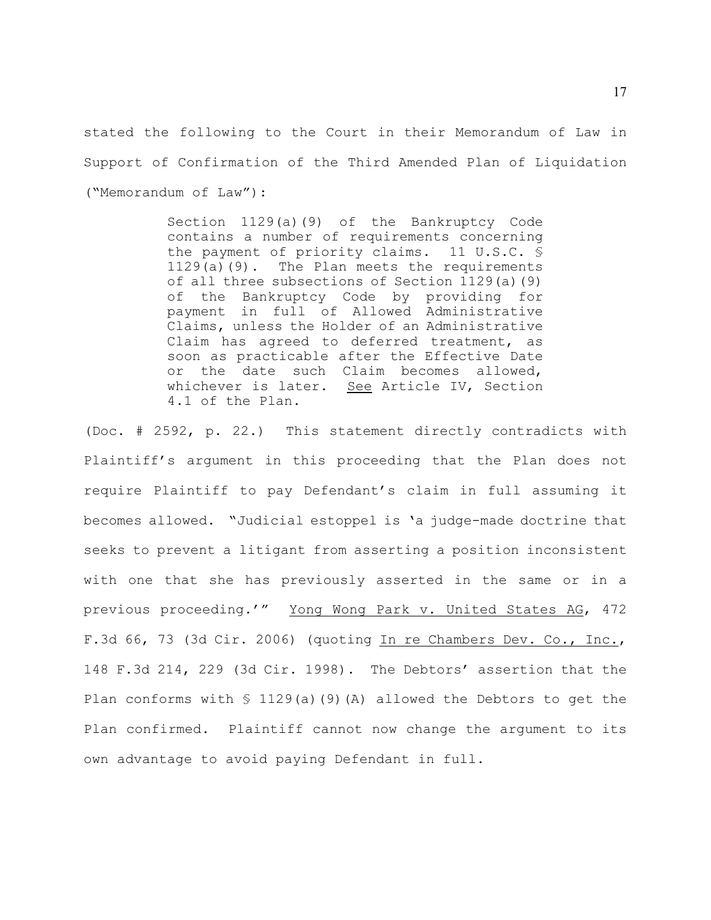stated the following to the Court in their Memorandum of Law in Support of Confirmation of the Third Amended Plan of Liquidation ("Memorandum of Law"):

> Section 1129(a)(9) of the Bankruptcy Code contains a number of requirements concerning the payment of priority claims. 11 U.S.C. § 1129(a)(9). The Plan meets the requirements of all three subsections of Section 1129(a)(9) of the Bankruptcy Code by providing for payment in full of Allowed Administrative Claims, unless the Holder of an Administrative Claim has agreed to deferred treatment, as soon as practicable after the Effective Date or the date such Claim becomes allowed, whichever is later. See Article IV, Section 4.1 of the Plan.

(Doc. # 2592, p. 22.) This statement directly contradicts with Plaintiff's argument in this proceeding that the Plan does not require Plaintiff to pay Defendant's claim in full assuming it becomes allowed. "Judicial estoppel is 'a judge-made doctrine that seeks to prevent a litigant from asserting a position inconsistent with one that she has previously asserted in the same or in a previous proceeding.'" Yong Wong Park v. United States AG, 472 F.3d 66, 73 (3d Cir. 2006) (quoting In re Chambers Dev. Co., Inc., 148 F.3d 214, 229 (3d Cir. 1998). The Debtors' assertion that the Plan conforms with  $\frac{129}{a}(a)(9)(A)$  allowed the Debtors to get the Plan confirmed. Plaintiff cannot now change the argument to its own advantage to avoid paying Defendant in full.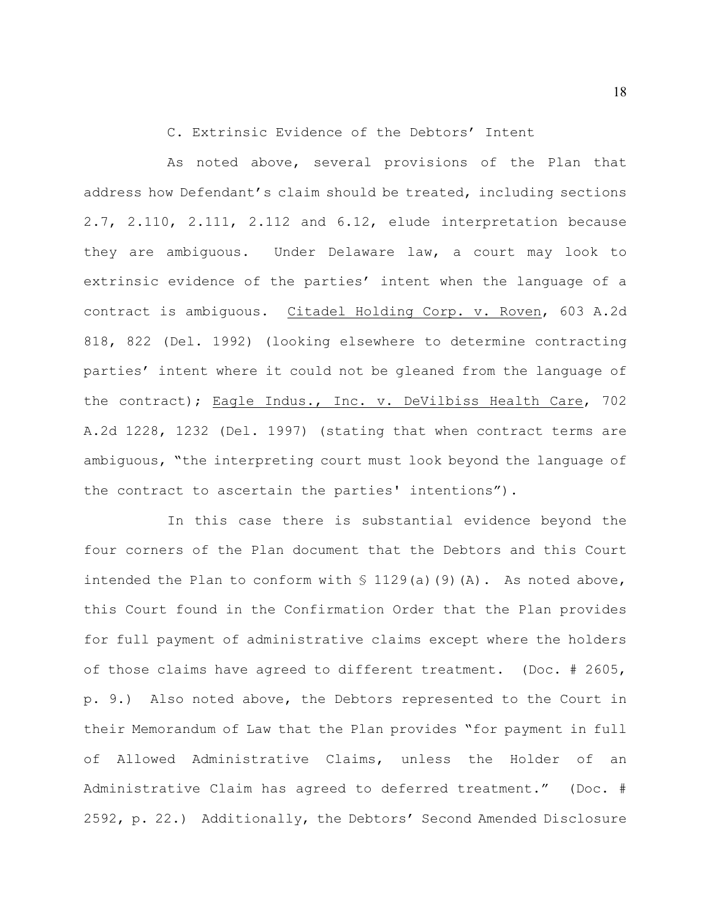C. Extrinsic Evidence of the Debtors' Intent

As noted above, several provisions of the Plan that address how Defendant's claim should be treated, including sections 2.7, 2.110, 2.111, 2.112 and 6.12, elude interpretation because they are ambiguous. Under Delaware law, a court may look to extrinsic evidence of the parties' intent when the language of a contract is ambiguous. Citadel Holding Corp. v. Roven, 603 A.2d 818, 822 (Del. 1992) (looking elsewhere to determine contracting parties' intent where it could not be gleaned from the language of the contract); Eagle Indus., Inc. v. DeVilbiss Health Care, 702 A.2d 1228, 1232 (Del. 1997) (stating that when contract terms are ambiguous, "the interpreting court must look beyond the language of the contract to ascertain the parties' intentions").

In this case there is substantial evidence beyond the four corners of the Plan document that the Debtors and this Court intended the Plan to conform with  $\frac{129}{a}$  (3)(A). As noted above, this Court found in the Confirmation Order that the Plan provides for full payment of administrative claims except where the holders of those claims have agreed to different treatment. (Doc. # 2605, p. 9.) Also noted above, the Debtors represented to the Court in their Memorandum of Law that the Plan provides "for payment in full of Allowed Administrative Claims, unless the Holder of an Administrative Claim has agreed to deferred treatment." (Doc. # 2592, p. 22.) Additionally, the Debtors' Second Amended Disclosure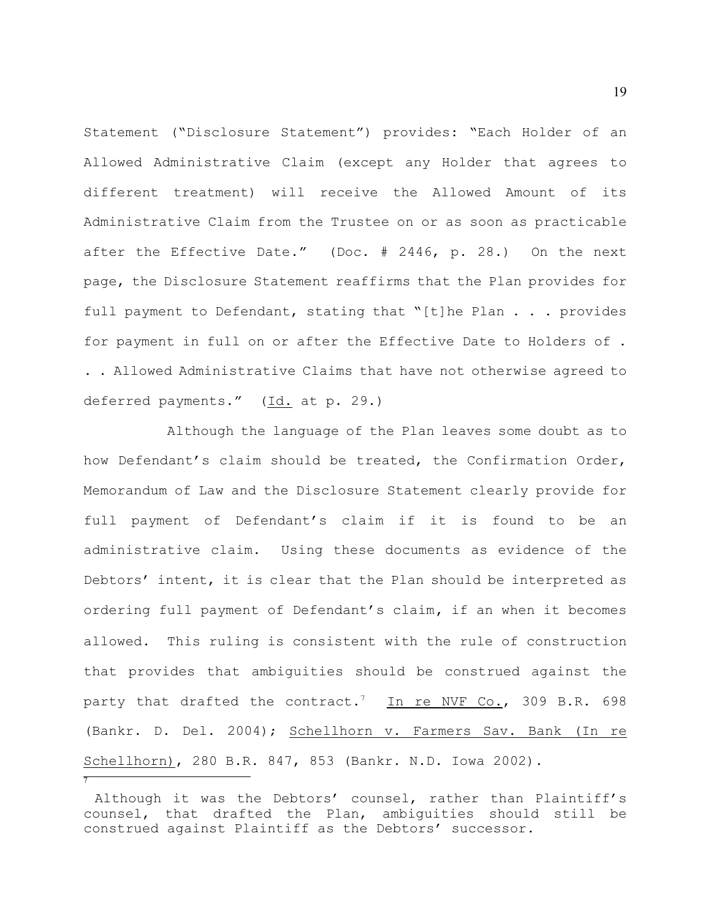Statement ("Disclosure Statement") provides: "Each Holder of an Allowed Administrative Claim (except any Holder that agrees to different treatment) will receive the Allowed Amount of its Administrative Claim from the Trustee on or as soon as practicable after the Effective Date." (Doc. # 2446, p. 28.) On the next page, the Disclosure Statement reaffirms that the Plan provides for full payment to Defendant, stating that "[t]he Plan . . . provides for payment in full on or after the Effective Date to Holders of . . . Allowed Administrative Claims that have not otherwise agreed to deferred payments." (Id. at p. 29.)

Although the language of the Plan leaves some doubt as to how Defendant's claim should be treated, the Confirmation Order, Memorandum of Law and the Disclosure Statement clearly provide for full payment of Defendant's claim if it is found to be an administrative claim. Using these documents as evidence of the Debtors' intent, it is clear that the Plan should be interpreted as ordering full payment of Defendant's claim**,** if an when it becomes allowed. This ruling is consistent with the rule of construction that provides that ambiguities should be construed against the party that drafted the contract.<sup>7</sup> In re NVF Co., 309 B.R. 698 (Bankr. D. Del. 2004); Schellhorn v. Farmers Sav. Bank (In re Schellhorn), 280 B.R. 847, 853 (Bankr. N.D. Iowa 2002).

7

Although it was the Debtors' counsel, rather than Plaintiff's counsel, that drafted the Plan, ambiguities should still be construed against Plaintiff as the Debtors' successor.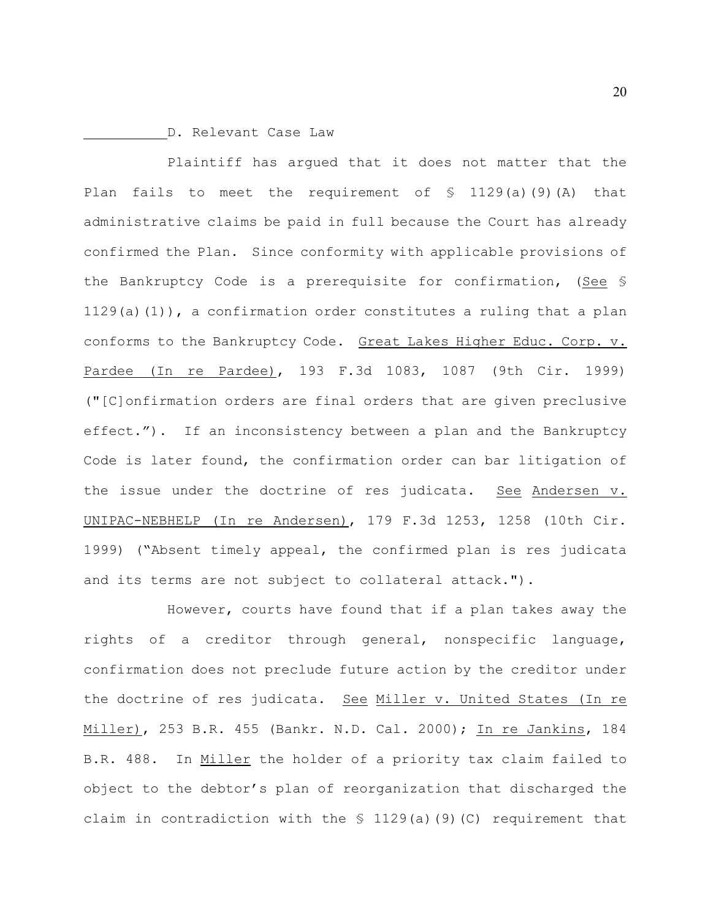### D. Relevant Case Law

Plaintiff has argued that it does not matter that the Plan fails to meet the requirement of  $\frac{129}{a}$  (9)(A) that administrative claims be paid in full because the Court has already confirmed the Plan. Since conformity with applicable provisions of the Bankruptcy Code is a prerequisite for confirmation, (See §  $1129(a)(1)$ , a confirmation order constitutes a ruling that a plan conforms to the Bankruptcy Code. Great Lakes Higher Educ. Corp. v. Pardee (In re Pardee), 193 F.3d 1083, 1087 (9th Cir. 1999) ("[C]onfirmation orders are final orders that are given preclusive effect."). If an inconsistency between a plan and the Bankruptcy Code is later found, the confirmation order can bar litigation of the issue under the doctrine of res judicata. See Andersen v. UNIPAC-NEBHELP (In re Andersen), 179 F.3d 1253, 1258 (10th Cir. 1999) ("Absent timely appeal, the confirmed plan is res judicata and its terms are not subject to collateral attack.").

However, courts have found that if a plan takes away the rights of a creditor through general, nonspecific language, confirmation does not preclude future action by the creditor under the doctrine of res judicata. See Miller v. United States (In re Miller), 253 B.R. 455 (Bankr. N.D. Cal. 2000); In re Jankins, 184 B.R. 488. In Miller the holder of a priority tax claim failed to object to the debtor's plan of reorganization that discharged the claim in contradiction with the  $S$  1129(a)(9)(C) requirement that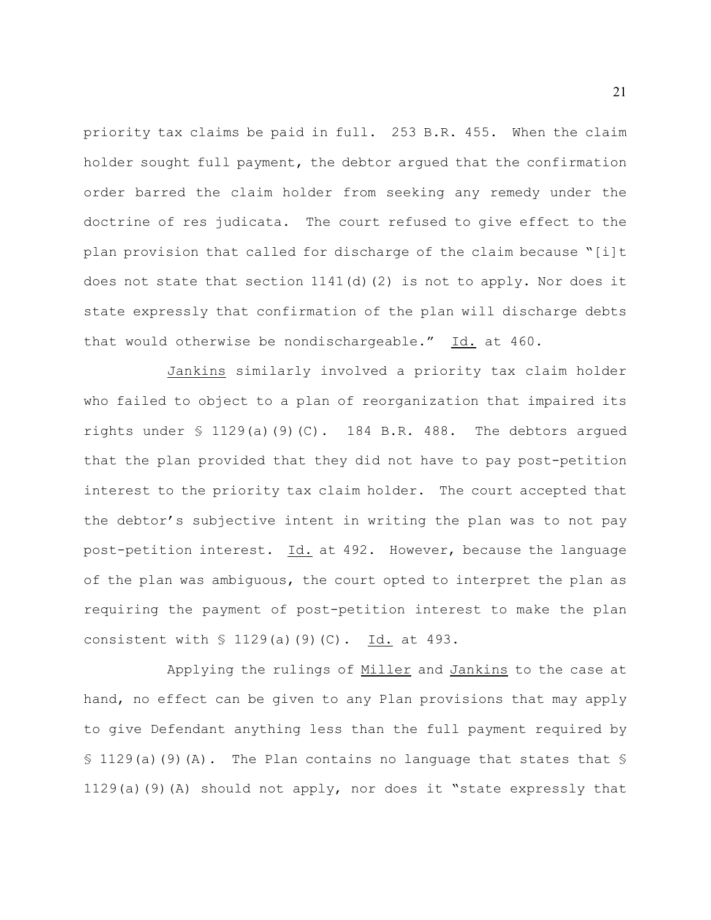priority tax claims be paid in full. 253 B.R. 455. When the claim holder sought full payment, the debtor argued that the confirmation order barred the claim holder from seeking any remedy under the doctrine of res judicata. The court refused to give effect to the plan provision that called for discharge of the claim because "[i]t does not state that section  $1141(d)$  (2) is not to apply. Nor does it state expressly that confirmation of the plan will discharge debts that would otherwise be nondischargeable." Id. at 460.

Jankins similarly involved a priority tax claim holder who failed to object to a plan of reorganization that impaired its rights under  $\frac{129(a)(9)(C)}{2}$ . 184 B.R. 488. The debtors argued that the plan provided that they did not have to pay post-petition interest to the priority tax claim holder. The court accepted that the debtor's subjective intent in writing the plan was to not pay post-petition interest. Id. at 492. However, because the language of the plan was ambiguous, the court opted to interpret the plan as requiring the payment of post-petition interest to make the plan consistent with  $\frac{129}{a}$  (9)(C). Id. at 493.

Applying the rulings of Miller and Jankins to the case at hand, no effect can be given to any Plan provisions that may apply to give Defendant anything less than the full payment required by  $$ 1129(a)(9)(A)$ . The Plan contains no language that states that  $$$ 1129(a)(9)(A) should not apply, nor does it "state expressly that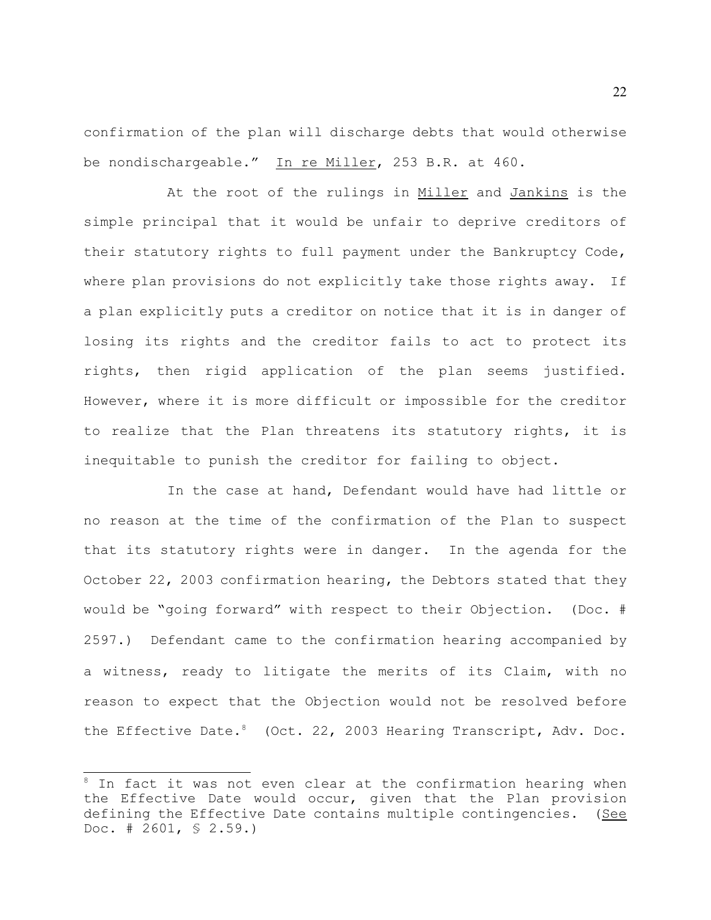confirmation of the plan will discharge debts that would otherwise be nondischargeable." In re Miller, 253 B.R. at 460.

At the root of the rulings in Miller and Jankins is the simple principal that it would be unfair to deprive creditors of their statutory rights to full payment under the Bankruptcy Code, where plan provisions do not explicitly take those rights away. If a plan explicitly puts a creditor on notice that it is in danger of losing its rights and the creditor fails to act to protect its rights, then rigid application of the plan seems justified. However, where it is more difficult or impossible for the creditor to realize that the Plan threatens its statutory rights, it is inequitable to punish the creditor for failing to object.

In the case at hand, Defendant would have had little or no reason at the time of the confirmation of the Plan to suspect that its statutory rights were in danger. In the agenda for the October 22, 2003 confirmation hearing, the Debtors stated that they would be "going forward" with respect to their Objection. (Doc. # 2597.) Defendant came to the confirmation hearing accompanied by a witness, ready to litigate the merits of its Claim, with no reason to expect that the Objection would not be resolved before the Effective Date.<sup>8</sup> (Oct. 22, 2003 Hearing Transcript, Adv. Doc.

 $8$  In fact it was not even clear at the confirmation hearing when the Effective Date would occur, given that the Plan provision defining the Effective Date contains multiple contingencies. (See Doc. # 2601, § 2.59.)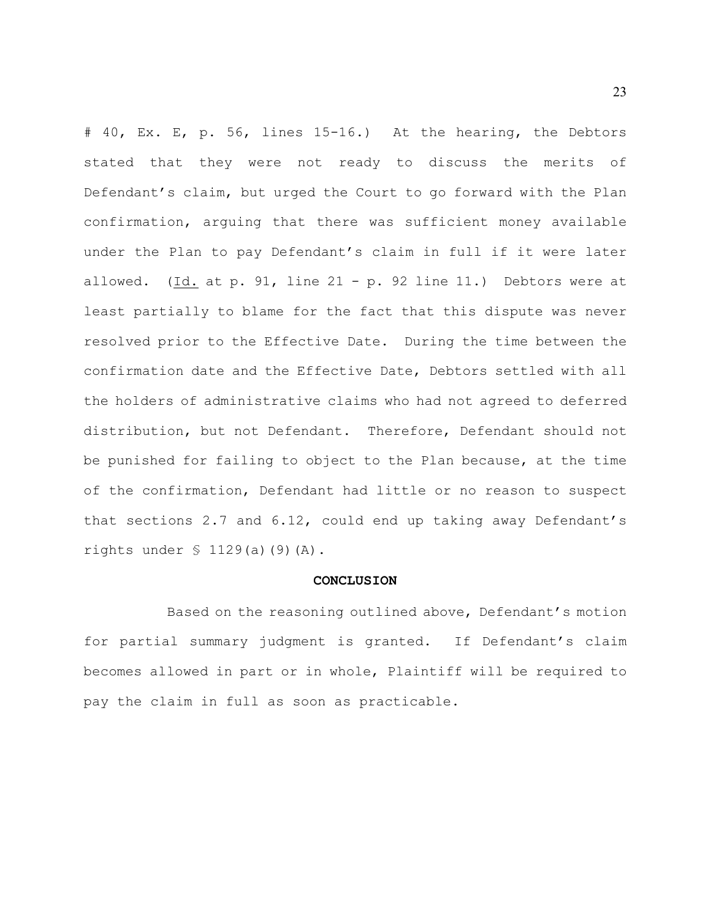# 40, Ex. E, p. 56, lines 15-16.) At the hearing, the Debtors stated that they were not ready to discuss the merits of Defendant's claim, but urged the Court to go forward with the Plan confirmation, arguing that there was sufficient money available under the Plan to pay Defendant's claim in full if it were later allowed. (Id. at p. 91, line 21 - p. 92 line 11.) Debtors were at least partially to blame for the fact that this dispute was never resolved prior to the Effective Date. During the time between the confirmation date and the Effective Date, Debtors settled with all the holders of administrative claims who had not agreed to deferred distribution, but not Defendant. Therefore, Defendant should not be punished for failing to object to the Plan because, at the time of the confirmation, Defendant had little or no reason to suspect that sections 2.7 and 6.12, could end up taking away Defendant's rights under  $\frac{129}{a}$ (a)(9)(A).

### **CONCLUSION**

Based on the reasoning outlined above, Defendant's motion for partial summary judgment is granted. If Defendant's claim becomes allowed in part or in whole, Plaintiff will be required to pay the claim in full as soon as practicable.